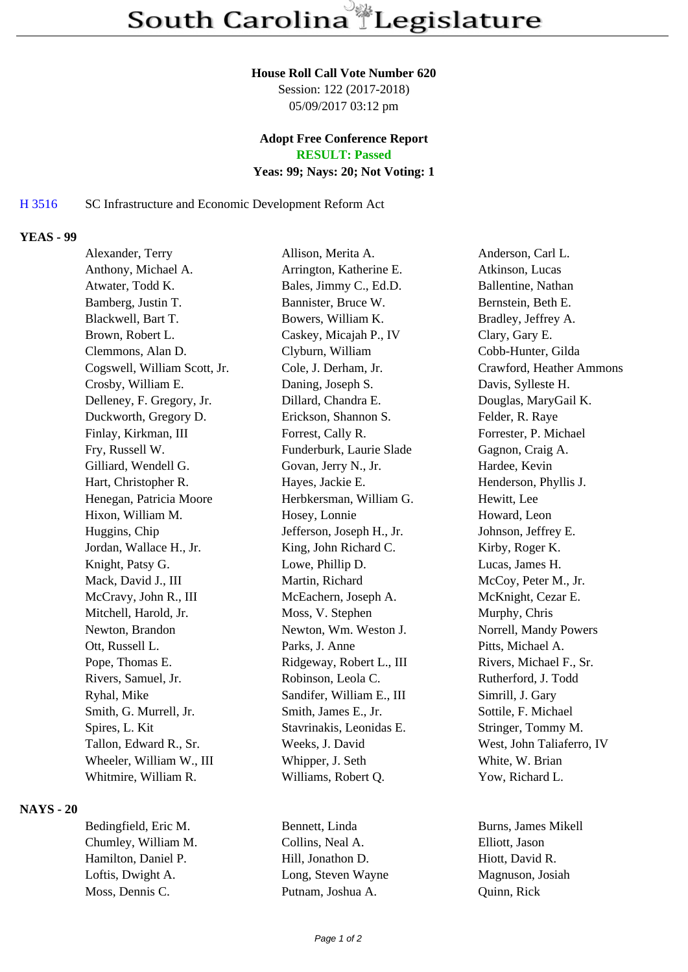#### **House Roll Call Vote Number 620**

Session: 122 (2017-2018) 05/09/2017 03:12 pm

## **Adopt Free Conference Report RESULT: Passed**

#### **Yeas: 99; Nays: 20; Not Voting: 1**

# H 3516 SC Infrastructure and Economic Development Reform Act

## **YEAS - 99**

| Alexander, Terry             | Allison, Merita A.        | Anderson, Carl L.         |
|------------------------------|---------------------------|---------------------------|
| Anthony, Michael A.          | Arrington, Katherine E.   | Atkinson, Lucas           |
| Atwater, Todd K.             | Bales, Jimmy C., Ed.D.    | Ballentine, Nathan        |
| Bamberg, Justin T.           | Bannister, Bruce W.       | Bernstein, Beth E.        |
| Blackwell, Bart T.           | Bowers, William K.        | Bradley, Jeffrey A.       |
| Brown, Robert L.             | Caskey, Micajah P., IV    | Clary, Gary E.            |
| Clemmons, Alan D.            | Clyburn, William          | Cobb-Hunter, Gilda        |
| Cogswell, William Scott, Jr. | Cole, J. Derham, Jr.      | Crawford, Heather Ammons  |
| Crosby, William E.           | Daning, Joseph S.         | Davis, Sylleste H.        |
| Delleney, F. Gregory, Jr.    | Dillard, Chandra E.       | Douglas, MaryGail K.      |
| Duckworth, Gregory D.        | Erickson, Shannon S.      | Felder, R. Raye           |
| Finlay, Kirkman, III         | Forrest, Cally R.         | Forrester, P. Michael     |
| Fry, Russell W.              | Funderburk, Laurie Slade  | Gagnon, Craig A.          |
| Gilliard, Wendell G.         | Govan, Jerry N., Jr.      | Hardee, Kevin             |
| Hart, Christopher R.         | Hayes, Jackie E.          | Henderson, Phyllis J.     |
| Henegan, Patricia Moore      | Herbkersman, William G.   | Hewitt, Lee               |
| Hixon, William M.            | Hosey, Lonnie             | Howard, Leon              |
| Huggins, Chip                | Jefferson, Joseph H., Jr. | Johnson, Jeffrey E.       |
| Jordan, Wallace H., Jr.      | King, John Richard C.     | Kirby, Roger K.           |
| Knight, Patsy G.             | Lowe, Phillip D.          | Lucas, James H.           |
| Mack, David J., III          | Martin, Richard           | McCoy, Peter M., Jr.      |
| McCravy, John R., III        | McEachern, Joseph A.      | McKnight, Cezar E.        |
| Mitchell, Harold, Jr.        | Moss, V. Stephen          | Murphy, Chris             |
| Newton, Brandon              | Newton, Wm. Weston J.     | Norrell, Mandy Powers     |
| Ott, Russell L.              | Parks, J. Anne            | Pitts, Michael A.         |
| Pope, Thomas E.              | Ridgeway, Robert L., III  | Rivers, Michael F., Sr.   |
| Rivers, Samuel, Jr.          | Robinson, Leola C.        | Rutherford, J. Todd       |
| Ryhal, Mike                  | Sandifer, William E., III | Simrill, J. Gary          |
| Smith, G. Murrell, Jr.       | Smith, James E., Jr.      | Sottile, F. Michael       |
| Spires, L. Kit               | Stavrinakis, Leonidas E.  | Stringer, Tommy M.        |
| Tallon, Edward R., Sr.       | Weeks, J. David           | West, John Taliaferro, IV |
| Wheeler, William W., III     | Whipper, J. Seth          | White, W. Brian           |
| Whitmire, William R.         | Williams, Robert Q.       | Yow, Richard L.           |
|                              |                           |                           |

# **NAYS - 20**

Chumley, William M. Collins, Neal A. Elliott, Jason Hamilton, Daniel P. Hill, Jonathon D. Hiott, David R. Loftis, Dwight A. Cong, Steven Wayne Magnuson, Josiah Moss, Dennis C. Putnam, Joshua A. Quinn, Rick

Bedingfield, Eric M. Bennett, Linda Burns, James Mikell